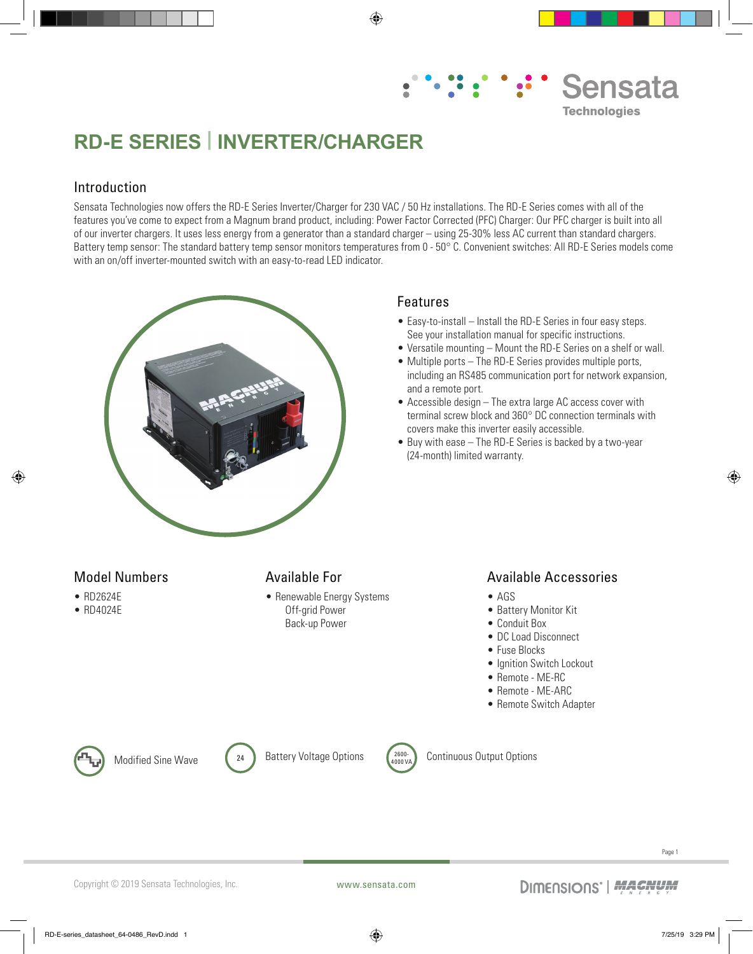# Sensata **Technologies**

## **RD-E SERIES | INVERTER/CHARGER**

#### Introduction

Sensata Technologies now offers the RD-E Series Inverter/Charger for 230 VAC / 50 Hz installations. The RD-E Series comes with all of the features you've come to expect from a Magnum brand product, including: Power Factor Corrected (PFC) Charger: Our PFC charger is built into all of our inverter chargers. It uses less energy from a generator than a standard charger – using 25-30% less AC current than standard chargers. Battery temp sensor: The standard battery temp sensor monitors temperatures from 0 - 50° C. Convenient switches: All RD-E Series models come with an on/off inverter-mounted switch with an easy-to-read LED indicator.

⊕



#### Features

- Easy-to-install Install the RD-E Series in four easy steps. See your installation manual for specific instructions.
- Versatile mounting Mount the RD-E Series on a shelf or wall.
- Multiple ports The RD-E Series provides multiple ports, including an RS485 communication port for network expansion, and a remote port.
- Accessible design The extra large AC access cover with terminal screw block and 360° DC connection terminals with covers make this inverter easily accessible.
- Buy with ease The RD-E Series is backed by a two-year (24-month) limited warranty.

#### Model Numbers

- RD2624E
- RD4024E

⊕

#### Available For

• Renewable Energy Systems Off-grid Power Back-up Power

#### Available Accessories

- AGS
- Battery Monitor Kit
- Conduit Box
- DC Load Disconnect
- Fuse Blocks
- Ignition Switch Lockout
- Remote ME-RC
- Remote ME-ARC
- Remote Switch Adapter







Modified Sine Wave  $\left(24\right)$  Battery Voltage Options  $\left(2600\right)$  Continuous Output Options

Page 1

Copyright © 2019 Sensata Technologies, Inc. www.sensata.com

♠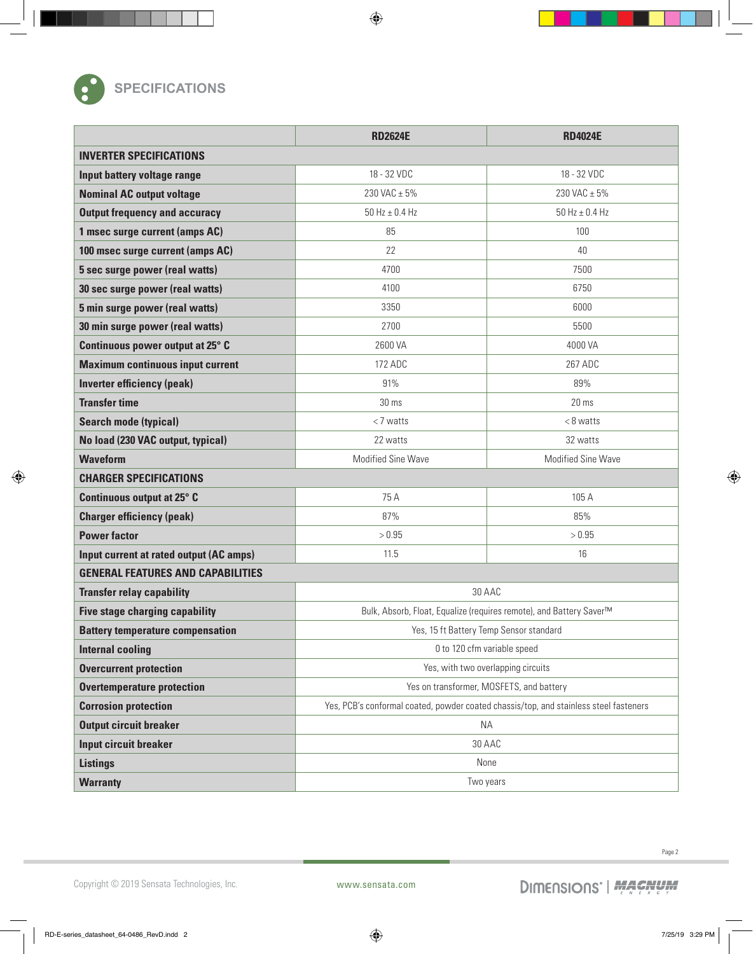

### **SPECIFICATIONS**

|                                          | <b>RD2624E</b>                                                                        | <b>RD4024E</b>       |  |
|------------------------------------------|---------------------------------------------------------------------------------------|----------------------|--|
| <b>INVERTER SPECIFICATIONS</b>           |                                                                                       |                      |  |
| Input battery voltage range              | 18 - 32 VDC                                                                           | 18 - 32 VDC          |  |
| <b>Nominal AC output voltage</b>         | 230 VAC ± 5%                                                                          | 230 VAC ± 5%         |  |
| <b>Output frequency and accuracy</b>     | $50$ Hz $\pm$ 0.4 Hz                                                                  | $50$ Hz $\pm$ 0.4 Hz |  |
| 1 msec surge current (amps AC)           | 85                                                                                    | 100                  |  |
| 100 msec surge current (amps AC)         | 22                                                                                    | 40                   |  |
| 5 sec surge power (real watts)           | 4700                                                                                  | 7500                 |  |
| 30 sec surge power (real watts)          | 4100                                                                                  | 6750                 |  |
| 5 min surge power (real watts)           | 3350                                                                                  | 6000                 |  |
| 30 min surge power (real watts)          | 2700                                                                                  | 5500                 |  |
| Continuous power output at 25° C         | 2600 VA                                                                               | 4000 VA              |  |
| <b>Maximum continuous input current</b>  | 172 ADC                                                                               | 267 ADC              |  |
| <b>Inverter efficiency (peak)</b>        | 91%                                                                                   | 89%                  |  |
| <b>Transfer time</b>                     | 30 ms                                                                                 | 20 <sub>ms</sub>     |  |
| <b>Search mode (typical)</b>             | $<$ 7 watts                                                                           | $< 8$ watts          |  |
| No load (230 VAC output, typical)        | 22 watts                                                                              | 32 watts             |  |
| <b>Waveform</b>                          | <b>Modified Sine Wave</b>                                                             | Modified Sine Wave   |  |
| <b>CHARGER SPECIFICATIONS</b>            |                                                                                       |                      |  |
| Continuous output at 25° C               | 75 A                                                                                  | 105 A                |  |
| <b>Charger efficiency (peak)</b>         | 87%                                                                                   | 85%                  |  |
| <b>Power factor</b>                      | > 0.95                                                                                | > 0.95               |  |
| Input current at rated output (AC amps)  | 11.5                                                                                  | 16                   |  |
| <b>GENERAL FEATURES AND CAPABILITIES</b> |                                                                                       |                      |  |
| <b>Transfer relay capability</b>         | 30 AAC                                                                                |                      |  |
| <b>Five stage charging capability</b>    | Bulk, Absorb, Float, Equalize (requires remote), and Battery Saver™                   |                      |  |
| <b>Battery temperature compensation</b>  | Yes, 15 ft Battery Temp Sensor standard                                               |                      |  |
| <b>Internal cooling</b>                  | 0 to 120 cfm variable speed                                                           |                      |  |
| <b>Overcurrent protection</b>            | Yes, with two overlapping circuits                                                    |                      |  |
| <b>Overtemperature protection</b>        | Yes on transformer, MOSFETS, and battery                                              |                      |  |
| <b>Corrosion protection</b>              | Yes, PCB's conformal coated, powder coated chassis/top, and stainless steel fasteners |                      |  |
| <b>Output circuit breaker</b>            | <b>NA</b>                                                                             |                      |  |
| <b>Input circuit breaker</b>             | 30 AAC                                                                                |                      |  |
| <b>Listings</b>                          | None                                                                                  |                      |  |
| <b>Warranty</b>                          | Two years                                                                             |                      |  |

 $\bigoplus$ 

Copyright © 2019 Sensata Technologies, Inc. www.sensata.com

 $\bigoplus$ 

Page 2